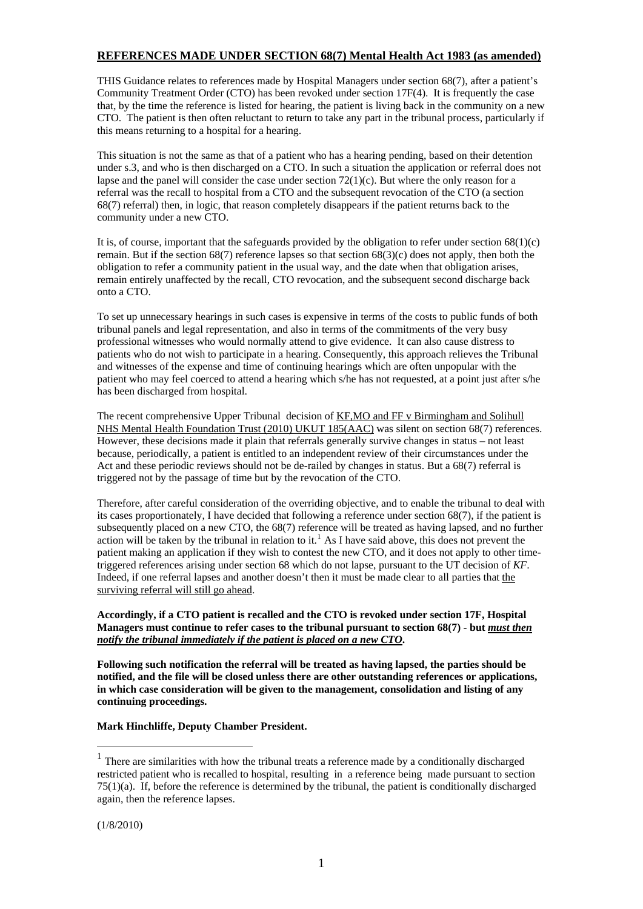# **REFERENCES MADE UNDER SECTION 68(7) Mental Health Act 1983 (as amended)**

THIS Guidance relates to references made by Hospital Managers under section 68(7), after a patient's Community Treatment Order (CTO) has been revoked under section 17F(4). It is frequently the case that, by the time the reference is listed for hearing, the patient is living back in the community on a new CTO. The patient is then often reluctant to return to take any part in the tribunal process, particularly if this means returning to a hospital for a hearing.

This situation is not the same as that of a patient who has a hearing pending, based on their detention under s.3, and who is then discharged on a CTO. In such a situation the application or referral does not lapse and the panel will consider the case under section  $72(1)(c)$ . But where the only reason for a referral was the recall to hospital from a CTO and the subsequent revocation of the CTO (a section 68(7) referral) then, in logic, that reason completely disappears if the patient returns back to the community under a new CTO.

It is, of course, important that the safeguards provided by the obligation to refer under section  $68(1)(c)$ remain. But if the section 68(7) reference lapses so that section 68(3)(c) does not apply, then both the obligation to refer a community patient in the usual way, and the date when that obligation arises, remain entirely unaffected by the recall, CTO revocation, and the subsequent second discharge back onto a CTO.

To set up unnecessary hearings in such cases is expensive in terms of the costs to public funds of both tribunal panels and legal representation, and also in terms of the commitments of the very busy professional witnesses who would normally attend to give evidence. It can also cause distress to patients who do not wish to participate in a hearing. Consequently, this approach relieves the Tribunal and witnesses of the expense and time of continuing hearings which are often unpopular with the patient who may feel coerced to attend a hearing which s/he has not requested, at a point just after s/he has been discharged from hospital.

The recent comprehensive Upper Tribunal decision of KF,MO and FF v Birmingham and Solihull NHS Mental Health Foundation Trust (2010) UKUT 185(AAC) was silent on section 68(7) references. However, these decisions made it plain that referrals generally survive changes in status – not least because, periodically, a patient is entitled to an independent review of their circumstances under the Act and these periodic reviews should not be de-railed by changes in status. But a 68(7) referral is triggered not by the passage of time but by the revocation of the CTO.

Therefore, after careful consideration of the overriding objective, and to enable the tribunal to deal with its cases proportionately, I have decided that following a reference under section 68(7), if the patient is subsequently placed on a new CTO, the 68(7) reference will be treated as having lapsed, and no further action will be taken by the tribunal in relation to it.<sup>[1](#page-0-0)</sup> As I have said above, this does not prevent the patient making an application if they wish to contest the new CTO, and it does not apply to other timetriggered references arising under section 68 which do not lapse, pursuant to the UT decision of *KF*. Indeed, if one referral lapses and another doesn't then it must be made clear to all parties that the surviving referral will still go ahead.

## **Accordingly, if a CTO patient is recalled and the CTO is revoked under section 17F, Hospital Managers must continue to refer cases to the tribunal pursuant to section 68(7) - but** *must then notify the tribunal immediately if the patient is placed on a new CTO***.**

**Following such notification the referral will be treated as having lapsed, the parties should be notified, and the file will be closed unless there are other outstanding references or applications, in which case consideration will be given to the management, consolidation and listing of any continuing proceedings.** 

## **Mark Hinchliffe, Deputy Chamber President.**

(1/8/2010)

1

<span id="page-0-0"></span> $1$  There are similarities with how the tribunal treats a reference made by a conditionally discharged restricted patient who is recalled to hospital, resulting in a reference being made pursuant to section  $75(1)(a)$ . If, before the reference is determined by the tribunal, the patient is conditionally discharged again, then the reference lapses.